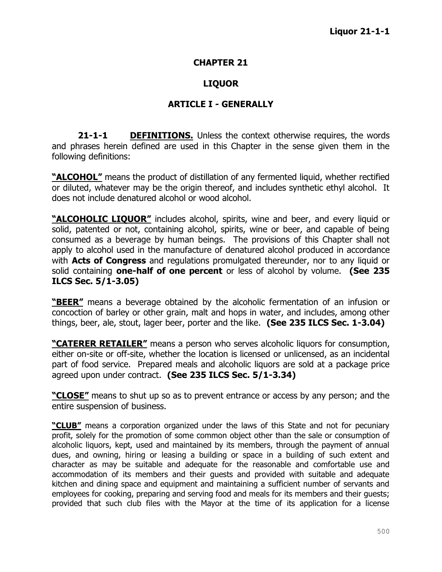#### **CHAPTER 21**

### **LIQUOR**

### **ARTICLE I - GENERALLY**

**21-1-1 DEFINITIONS.** Unless the context otherwise requires, the words and phrases herein defined are used in this Chapter in the sense given them in the following definitions:

**"ALCOHOL"** means the product of distillation of any fermented liquid, whether rectified or diluted, whatever may be the origin thereof, and includes synthetic ethyl alcohol. It does not include denatured alcohol or wood alcohol.

**"ALCOHOLIC LIQUOR"** includes alcohol, spirits, wine and beer, and every liquid or solid, patented or not, containing alcohol, spirits, wine or beer, and capable of being consumed as a beverage by human beings. The provisions of this Chapter shall not apply to alcohol used in the manufacture of denatured alcohol produced in accordance with **Acts of Congress** and regulations promulgated thereunder, nor to any liquid or solid containing **one-half of one percent** or less of alcohol by volume. **(See 235 ILCS Sec. 5/1-3.05)**

**"BEER"** means a beverage obtained by the alcoholic fermentation of an infusion or concoction of barley or other grain, malt and hops in water, and includes, among other things, beer, ale, stout, lager beer, porter and the like. **(See 235 ILCS Sec. 1-3.04)**

**"CATERER RETAILER"** means a person who serves alcoholic liquors for consumption, either on-site or off-site, whether the location is licensed or unlicensed, as an incidental part of food service. Prepared meals and alcoholic liquors are sold at a package price agreed upon under contract. **(See 235 ILCS Sec. 5/1-3.34)**

**"CLOSE"** means to shut up so as to prevent entrance or access by any person; and the entire suspension of business.

**"CLUB"** means a corporation organized under the laws of this State and not for pecuniary profit, solely for the promotion of some common object other than the sale or consumption of alcoholic liquors, kept, used and maintained by its members, through the payment of annual dues, and owning, hiring or leasing a building or space in a building of such extent and character as may be suitable and adequate for the reasonable and comfortable use and accommodation of its members and their guests and provided with suitable and adequate kitchen and dining space and equipment and maintaining a sufficient number of servants and employees for cooking, preparing and serving food and meals for its members and their guests; provided that such club files with the Mayor at the time of its application for a license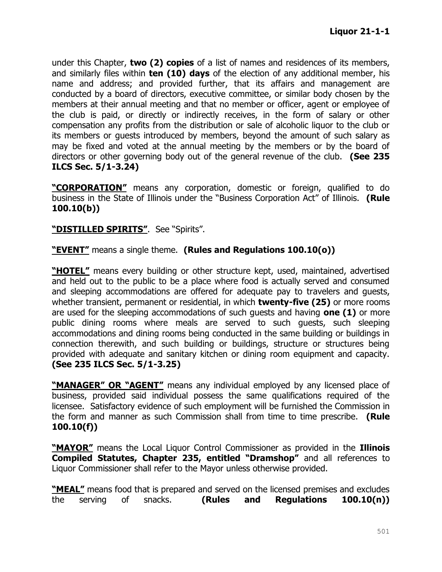under this Chapter, **two (2) copies** of a list of names and residences of its members, and similarly files within **ten (10) days** of the election of any additional member, his name and address; and provided further, that its affairs and management are conducted by a board of directors, executive committee, or similar body chosen by the members at their annual meeting and that no member or officer, agent or employee of the club is paid, or directly or indirectly receives, in the form of salary or other compensation any profits from the distribution or sale of alcoholic liquor to the club or its members or guests introduced by members, beyond the amount of such salary as may be fixed and voted at the annual meeting by the members or by the board of directors or other governing body out of the general revenue of the club. **(See 235 ILCS Sec. 5/1-3.24)**

**"CORPORATION"** means any corporation, domestic or foreign, qualified to do business in the State of Illinois under the "Business Corporation Act" of Illinois. **(Rule 100.10(b))**

### **"DISTILLED SPIRITS"**. See "Spirits".

**"EVENT"** means a single theme. **(Rules and Regulations 100.10(o))**

**"HOTEL"** means every building or other structure kept, used, maintained, advertised and held out to the public to be a place where food is actually served and consumed and sleeping accommodations are offered for adequate pay to travelers and guests, whether transient, permanent or residential, in which **twenty-five (25)** or more rooms are used for the sleeping accommodations of such guests and having **one (1)** or more public dining rooms where meals are served to such guests, such sleeping accommodations and dining rooms being conducted in the same building or buildings in connection therewith, and such building or buildings, structure or structures being provided with adequate and sanitary kitchen or dining room equipment and capacity. **(See 235 ILCS Sec. 5/1-3.25)**

**"MANAGER" OR "AGENT"** means any individual employed by any licensed place of business, provided said individual possess the same qualifications required of the licensee. Satisfactory evidence of such employment will be furnished the Commission in the form and manner as such Commission shall from time to time prescribe. **(Rule 100.10(f))**

**"MAYOR"** means the Local Liquor Control Commissioner as provided in the **Illinois Compiled Statutes, Chapter 235, entitled "Dramshop"** and all references to Liquor Commissioner shall refer to the Mayor unless otherwise provided.

**"MEAL"** means food that is prepared and served on the licensed premises and excludes the serving of snacks. **(Rules and Regulations 100.10(n))**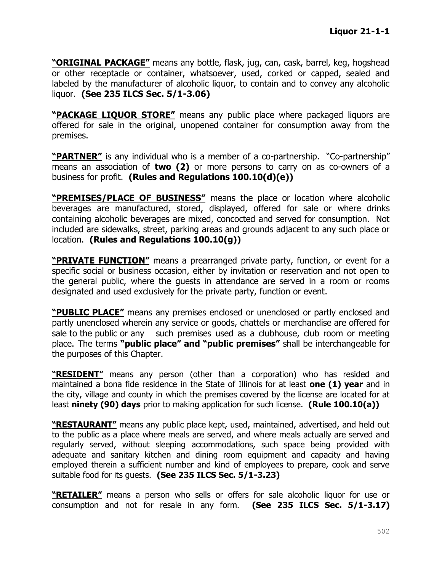**"ORIGINAL PACKAGE"** means any bottle, flask, jug, can, cask, barrel, keg, hogshead or other receptacle or container, whatsoever, used, corked or capped, sealed and labeled by the manufacturer of alcoholic liquor, to contain and to convey any alcoholic liquor. **(See 235 ILCS Sec. 5/1-3.06)**

**"PACKAGE LIQUOR STORE"** means any public place where packaged liquors are offered for sale in the original, unopened container for consumption away from the premises.

**"PARTNER"** is any individual who is a member of a co-partnership. "Co-partnership" means an association of **two (2)** or more persons to carry on as co-owners of a business for profit. **(Rules and Regulations 100.10(d)(e))**

**"PREMISES/PLACE OF BUSINESS"** means the place or location where alcoholic beverages are manufactured, stored, displayed, offered for sale or where drinks containing alcoholic beverages are mixed, concocted and served for consumption. Not included are sidewalks, street, parking areas and grounds adjacent to any such place or location. **(Rules and Regulations 100.10(g))**

**"PRIVATE FUNCTION"** means a prearranged private party, function, or event for a specific social or business occasion, either by invitation or reservation and not open to the general public, where the guests in attendance are served in a room or rooms designated and used exclusively for the private party, function or event.

**"PUBLIC PLACE"** means any premises enclosed or unenclosed or partly enclosed and partly unenclosed wherein any service or goods, chattels or merchandise are offered for sale to the public or any such premises used as a clubhouse, club room or meeting place. The terms **"public place" and "public premises"** shall be interchangeable for the purposes of this Chapter.

**"RESIDENT"** means any person (other than a corporation) who has resided and maintained a bona fide residence in the State of Illinois for at least **one (1) year** and in the city, village and county in which the premises covered by the license are located for at least **ninety (90) days** prior to making application for such license. **(Rule 100.10(a))**

**"RESTAURANT"** means any public place kept, used, maintained, advertised, and held out to the public as a place where meals are served, and where meals actually are served and regularly served, without sleeping accommodations, such space being provided with adequate and sanitary kitchen and dining room equipment and capacity and having employed therein a sufficient number and kind of employees to prepare, cook and serve suitable food for its guests. **(See 235 ILCS Sec. 5/1-3.23)**

**"RETAILER"** means a person who sells or offers for sale alcoholic liquor for use or consumption and not for resale in any form. **(See 235 ILCS Sec. 5/1-3.17)**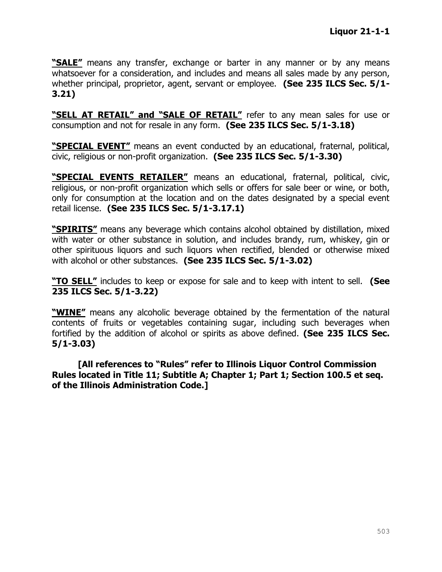**"SALE"** means any transfer, exchange or barter in any manner or by any means whatsoever for a consideration, and includes and means all sales made by any person, whether principal, proprietor, agent, servant or employee. **(See 235 ILCS Sec. 5/1- 3.21)**

**"SELL AT RETAIL" and "SALE OF RETAIL"** refer to any mean sales for use or consumption and not for resale in any form. **(See 235 ILCS Sec. 5/1-3.18)**

**"SPECIAL EVENT"** means an event conducted by an educational, fraternal, political, civic, religious or non-profit organization. **(See 235 ILCS Sec. 5/1-3.30)**

**"SPECIAL EVENTS RETAILER"** means an educational, fraternal, political, civic, religious, or non-profit organization which sells or offers for sale beer or wine, or both, only for consumption at the location and on the dates designated by a special event retail license. **(See 235 ILCS Sec. 5/1-3.17.1)**

**"SPIRITS"** means any beverage which contains alcohol obtained by distillation, mixed with water or other substance in solution, and includes brandy, rum, whiskey, gin or other spirituous liquors and such liquors when rectified, blended or otherwise mixed with alcohol or other substances. **(See 235 ILCS Sec. 5/1-3.02)**

**"TO SELL"** includes to keep or expose for sale and to keep with intent to sell. **(See 235 ILCS Sec. 5/1-3.22)**

**"WINE"** means any alcoholic beverage obtained by the fermentation of the natural contents of fruits or vegetables containing sugar, including such beverages when fortified by the addition of alcohol or spirits as above defined. **(See 235 ILCS Sec. 5/1-3.03)**

**[All references to "Rules" refer to Illinois Liquor Control Commission Rules located in Title 11; Subtitle A; Chapter 1; Part 1; Section 100.5 et seq. of the Illinois Administration Code.]**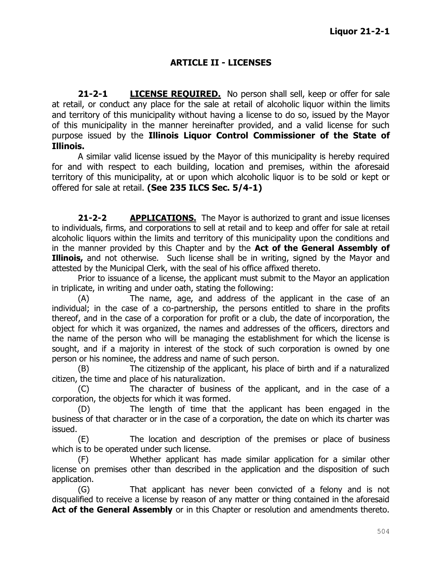# **ARTICLE II - LICENSES**

**21-2-1 LICENSE REQUIRED.** No person shall sell, keep or offer for sale at retail, or conduct any place for the sale at retail of alcoholic liquor within the limits and territory of this municipality without having a license to do so, issued by the Mayor of this municipality in the manner hereinafter provided, and a valid license for such purpose issued by the **Illinois Liquor Control Commissioner of the State of Illinois.**

A similar valid license issued by the Mayor of this municipality is hereby required for and with respect to each building, location and premises, within the aforesaid territory of this municipality, at or upon which alcoholic liquor is to be sold or kept or offered for sale at retail. **(See 235 ILCS Sec. 5/4-1)**

**21-2-2 APPLICATIONS.** The Mayor is authorized to grant and issue licenses to individuals, firms, and corporations to sell at retail and to keep and offer for sale at retail alcoholic liquors within the limits and territory of this municipality upon the conditions and in the manner provided by this Chapter and by the **Act of the General Assembly of Illinois,** and not otherwise. Such license shall be in writing, signed by the Mayor and attested by the Municipal Clerk, with the seal of his office affixed thereto.

Prior to issuance of a license, the applicant must submit to the Mayor an application in triplicate, in writing and under oath, stating the following:

(A) The name, age, and address of the applicant in the case of an individual; in the case of a co-partnership, the persons entitled to share in the profits thereof, and in the case of a corporation for profit or a club, the date of incorporation, the object for which it was organized, the names and addresses of the officers, directors and the name of the person who will be managing the establishment for which the license is sought, and if a majority in interest of the stock of such corporation is owned by one person or his nominee, the address and name of such person.

(B) The citizenship of the applicant, his place of birth and if a naturalized citizen, the time and place of his naturalization.

(C) The character of business of the applicant, and in the case of a corporation, the objects for which it was formed.

(D) The length of time that the applicant has been engaged in the business of that character or in the case of a corporation, the date on which its charter was issued.

(E) The location and description of the premises or place of business which is to be operated under such license.

(F) Whether applicant has made similar application for a similar other license on premises other than described in the application and the disposition of such application.

(G) That applicant has never been convicted of a felony and is not disqualified to receive a license by reason of any matter or thing contained in the aforesaid Act of the General Assembly or in this Chapter or resolution and amendments thereto.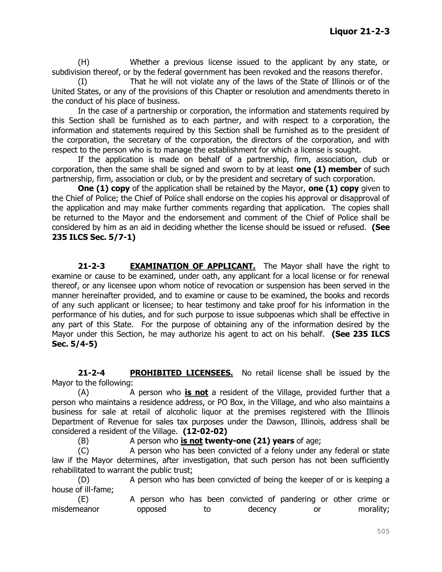(H) Whether a previous license issued to the applicant by any state, or subdivision thereof, or by the federal government has been revoked and the reasons therefor.

(I) That he will not violate any of the laws of the State of Illinois or of the United States, or any of the provisions of this Chapter or resolution and amendments thereto in the conduct of his place of business.

In the case of a partnership or corporation, the information and statements required by this Section shall be furnished as to each partner, and with respect to a corporation, the information and statements required by this Section shall be furnished as to the president of the corporation, the secretary of the corporation, the directors of the corporation, and with respect to the person who is to manage the establishment for which a license is sought.

If the application is made on behalf of a partnership, firm, association, club or corporation, then the same shall be signed and sworn to by at least **one (1) member** of such partnership, firm, association or club, or by the president and secretary of such corporation.

**One (1) copy** of the application shall be retained by the Mayor, **one (1) copy** given to the Chief of Police; the Chief of Police shall endorse on the copies his approval or disapproval of the application and may make further comments regarding that application. The copies shall be returned to the Mayor and the endorsement and comment of the Chief of Police shall be considered by him as an aid in deciding whether the license should be issued or refused. **(See 235 ILCS Sec. 5/7-1)**

21-2-3 **EXAMINATION OF APPLICANT.** The Mayor shall have the right to examine or cause to be examined, under oath, any applicant for a local license or for renewal thereof, or any licensee upon whom notice of revocation or suspension has been served in the manner hereinafter provided, and to examine or cause to be examined, the books and records of any such applicant or licensee; to hear testimony and take proof for his information in the performance of his duties, and for such purpose to issue subpoenas which shall be effective in any part of this State. For the purpose of obtaining any of the information desired by the Mayor under this Section, he may authorize his agent to act on his behalf. **(See 235 ILCS Sec. 5/4-5)**

**21-2-4 PROHIBITED LICENSEES.** No retail license shall be issued by the Mayor to the following:

(A) A person who **is not** a resident of the Village, provided further that a person who maintains a residence address, or PO Box, in the Village, and who also maintains a business for sale at retail of alcoholic liquor at the premises registered with the Illinois Department of Revenue for sales tax purposes under the Dawson, Illinois, address shall be considered a resident of the Village. **(12-02-02)**

(B) A person who **is not twenty-one (21) years** of age;

(C) A person who has been convicted of a felony under any federal or state law if the Mayor determines, after investigation, that such person has not been sufficiently rehabilitated to warrant the public trust;

(D) A person who has been convicted of being the keeper of or is keeping a house of ill-fame;

(E) A person who has been convicted of pandering or other crime or misdemeanor opposed to decency or morality;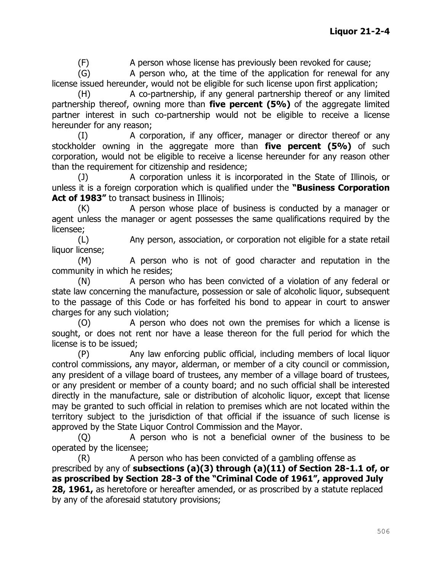(F) A person whose license has previously been revoked for cause;

(G) A person who, at the time of the application for renewal for any license issued hereunder, would not be eligible for such license upon first application;

(H) A co-partnership, if any general partnership thereof or any limited partnership thereof, owning more than **five percent (5%)** of the aggregate limited partner interest in such co-partnership would not be eligible to receive a license hereunder for any reason;

(I) A corporation, if any officer, manager or director thereof or any stockholder owning in the aggregate more than **five percent (5%)** of such corporation, would not be eligible to receive a license hereunder for any reason other than the requirement for citizenship and residence;

(J) A corporation unless it is incorporated in the State of Illinois, or unless it is a foreign corporation which is qualified under the **"Business Corporation**  Act of 1983" to transact business in Illinois;

(K) A person whose place of business is conducted by a manager or agent unless the manager or agent possesses the same qualifications required by the licensee;

(L) Any person, association, or corporation not eligible for a state retail liquor license;

(M) A person who is not of good character and reputation in the community in which he resides;

(N) A person who has been convicted of a violation of any federal or state law concerning the manufacture, possession or sale of alcoholic liquor, subsequent to the passage of this Code or has forfeited his bond to appear in court to answer charges for any such violation;

(O) A person who does not own the premises for which a license is sought, or does not rent nor have a lease thereon for the full period for which the license is to be issued;

(P) Any law enforcing public official, including members of local liquor control commissions, any mayor, alderman, or member of a city council or commission, any president of a village board of trustees, any member of a village board of trustees, or any president or member of a county board; and no such official shall be interested directly in the manufacture, sale or distribution of alcoholic liquor, except that license may be granted to such official in relation to premises which are not located within the territory subject to the jurisdiction of that official if the issuance of such license is approved by the State Liquor Control Commission and the Mayor.

(Q) A person who is not a beneficial owner of the business to be operated by the licensee;

(R) A person who has been convicted of a gambling offense as prescribed by any of **subsections (a)(3) through (a)(11) of Section 28-1.1 of, or as proscribed by Section 28-3 of the "Criminal Code of 1961", approved July 28, 1961,** as heretofore or hereafter amended, or as proscribed by a statute replaced by any of the aforesaid statutory provisions;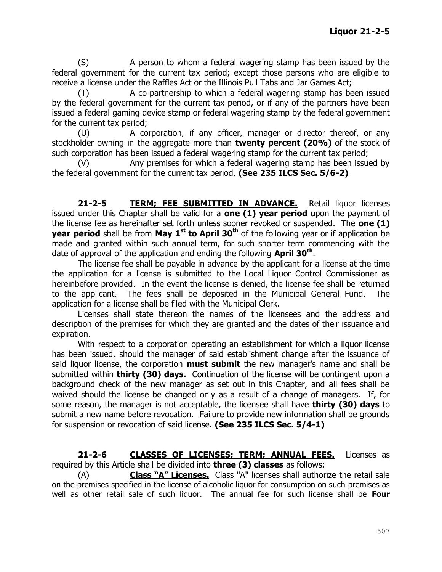(S) A person to whom a federal wagering stamp has been issued by the federal government for the current tax period; except those persons who are eligible to receive a license under the Raffles Act or the Illinois Pull Tabs and Jar Games Act;

(T) A co-partnership to which a federal wagering stamp has been issued by the federal government for the current tax period, or if any of the partners have been issued a federal gaming device stamp or federal wagering stamp by the federal government for the current tax period;

(U) A corporation, if any officer, manager or director thereof, or any stockholder owning in the aggregate more than **twenty percent (20%)** of the stock of such corporation has been issued a federal wagering stamp for the current tax period;

(V) Any premises for which a federal wagering stamp has been issued by the federal government for the current tax period. **(See 235 ILCS Sec. 5/6-2)**

**21-2-5 TERM; FEE SUBMITTED IN ADVANCE.** Retail liquor licenses issued under this Chapter shall be valid for a **one (1) year period** upon the payment of the license fee as hereinafter set forth unless sooner revoked or suspended. The **one (1) year period** shall be from **May 1<sup>st</sup> to April 30<sup>th</sup>** of the following year or if application be made and granted within such annual term, for such shorter term commencing with the date of approval of the application and ending the following **April 30th** .

The license fee shall be payable in advance by the applicant for a license at the time the application for a license is submitted to the Local Liquor Control Commissioner as hereinbefore provided. In the event the license is denied, the license fee shall be returned to the applicant. The fees shall be deposited in the Municipal General Fund. The application for a license shall be filed with the Municipal Clerk.

Licenses shall state thereon the names of the licensees and the address and description of the premises for which they are granted and the dates of their issuance and expiration.

With respect to a corporation operating an establishment for which a liquor license has been issued, should the manager of said establishment change after the issuance of said liquor license, the corporation **must submit** the new manager's name and shall be submitted within **thirty (30) days.** Continuation of the license will be contingent upon a background check of the new manager as set out in this Chapter, and all fees shall be waived should the license be changed only as a result of a change of managers. If, for some reason, the manager is not acceptable, the licensee shall have **thirty (30) days** to submit a new name before revocation. Failure to provide new information shall be grounds for suspension or revocation of said license. **(See 235 ILCS Sec. 5/4-1)**

**21-2-6 CLASSES OF LICENSES; TERM; ANNUAL FEES.** Licenses as required by this Article shall be divided into **three (3) classes** as follows:

(A) **Class "A" Licenses.** Class "A" licenses shall authorize the retail sale on the premises specified in the license of alcoholic liquor for consumption on such premises as well as other retail sale of such liquor. The annual fee for such license shall be **Four**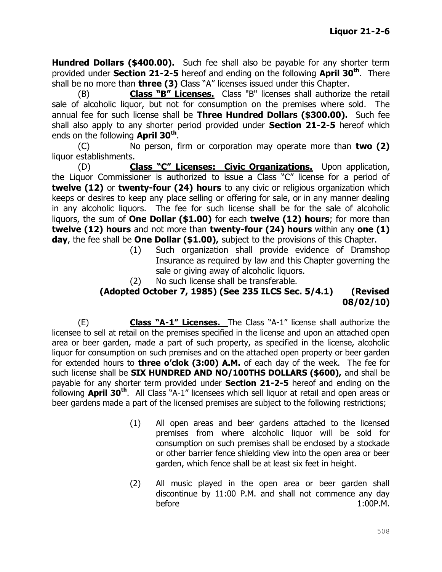**Hundred Dollars (\$400.00).** Such fee shall also be payable for any shorter term provided under **Section 21-2-5** hereof and ending on the following **April 30th**. There shall be no more than **three (3)** Class "A" licenses issued under this Chapter.

(B) **Class "B" Licenses.** Class "B" licenses shall authorize the retail sale of alcoholic liquor, but not for consumption on the premises where sold. The annual fee for such license shall be **Three Hundred Dollars (\$300.00).** Such fee shall also apply to any shorter period provided under **Section 21-2-5** hereof which ends on the following **April 30th** .

(C) No person, firm or corporation may operate more than **two (2)** liquor establishments.

(D) **Class "C" Licenses: Civic Organizations.** Upon application, the Liquor Commissioner is authorized to issue a Class "C" license for a period of **twelve (12)** or **twenty-four (24) hours** to any civic or religious organization which keeps or desires to keep any place selling or offering for sale, or in any manner dealing in any alcoholic liquors. The fee for such license shall be for the sale of alcoholic liquors, the sum of **One Dollar (\$1.00)** for each **twelve (12) hours**; for more than **twelve (12) hours** and not more than **twenty-four (24) hours** within any **one (1) day**, the fee shall be **One Dollar (\$1.00),** subject to the provisions of this Chapter.

- (1) Such organization shall provide evidence of Dramshop Insurance as required by law and this Chapter governing the sale or giving away of alcoholic liquors.
- (2) No such license shall be transferable.

### **(Adopted October 7, 1985) (See 235 ILCS Sec. 5/4.1) (Revised 08/02/10)**

(E) **Class "A-1" Licenses.** The Class "A-1" license shall authorize the licensee to sell at retail on the premises specified in the license and upon an attached open area or beer garden, made a part of such property, as specified in the license, alcoholic liquor for consumption on such premises and on the attached open property or beer garden for extended hours to **three o'clok (3:00) A.M.** of each day of the week. The fee for such license shall be **SIX HUNDRED AND NO/100THS DOLLARS (\$600),** and shall be payable for any shorter term provided under **Section 21-2-5** hereof and ending on the following **April 30th**. All Class "A-1" licensees which sell liquor at retail and open areas or beer gardens made a part of the licensed premises are subject to the following restrictions;

- (1) All open areas and beer gardens attached to the licensed premises from where alcoholic liquor will be sold for consumption on such premises shall be enclosed by a stockade or other barrier fence shielding view into the open area or beer garden, which fence shall be at least six feet in height.
- (2) All music played in the open area or beer garden shall discontinue by 11:00 P.M. and shall not commence any day before 1:00P.M.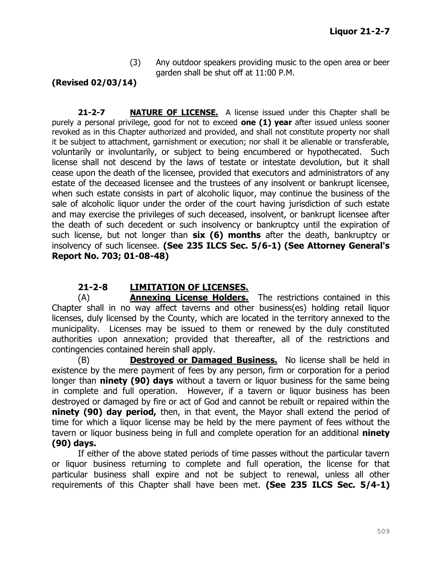(3) Any outdoor speakers providing music to the open area or beer garden shall be shut off at 11:00 P.M.

# **(Revised 02/03/14)**

**21-2-7 NATURE OF LICENSE.** A license issued under this Chapter shall be purely a personal privilege, good for not to exceed **one (1) year** after issued unless sooner revoked as in this Chapter authorized and provided, and shall not constitute property nor shall it be subject to attachment, garnishment or execution; nor shall it be alienable or transferable, voluntarily or involuntarily, or subject to being encumbered or hypothecated. Such license shall not descend by the laws of testate or intestate devolution, but it shall cease upon the death of the licensee, provided that executors and administrators of any estate of the deceased licensee and the trustees of any insolvent or bankrupt licensee, when such estate consists in part of alcoholic liquor, may continue the business of the sale of alcoholic liquor under the order of the court having jurisdiction of such estate and may exercise the privileges of such deceased, insolvent, or bankrupt licensee after the death of such decedent or such insolvency or bankruptcy until the expiration of such license, but not longer than **six (6) months** after the death, bankruptcy or insolvency of such licensee. **(See 235 ILCS Sec. 5/6-1) (See Attorney General's Report No. 703; 01-08-48)**

# **21-2-8 LIMITATION OF LICENSES.**

(A) **Annexing License Holders.** The restrictions contained in this Chapter shall in no way affect taverns and other business(es) holding retail liquor licenses, duly licensed by the County, which are located in the territory annexed to the municipality. Licenses may be issued to them or renewed by the duly constituted authorities upon annexation; provided that thereafter, all of the restrictions and contingencies contained herein shall apply.

(B) **Destroyed or Damaged Business.** No license shall be held in existence by the mere payment of fees by any person, firm or corporation for a period longer than **ninety (90) days** without a tavern or liquor business for the same being in complete and full operation. However, if a tavern or liquor business has been destroyed or damaged by fire or act of God and cannot be rebuilt or repaired within the **ninety (90) day period,** then, in that event, the Mayor shall extend the period of time for which a liquor license may be held by the mere payment of fees without the tavern or liquor business being in full and complete operation for an additional **ninety (90) days.**

If either of the above stated periods of time passes without the particular tavern or liquor business returning to complete and full operation, the license for that particular business shall expire and not be subject to renewal, unless all other requirements of this Chapter shall have been met. **(See 235 ILCS Sec. 5/4-1)**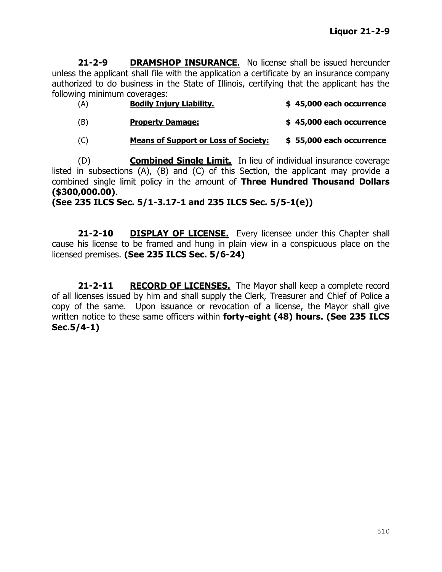**21-2-9 DRAMSHOP INSURANCE.** No license shall be issued hereunder unless the applicant shall file with the application a certificate by an insurance company authorized to do business in the State of Illinois, certifying that the applicant has the following minimum coverages:

| (A) | <b>Bodily Injury Liability.</b>             | \$45,000 each occurrence |
|-----|---------------------------------------------|--------------------------|
| (B) | <b>Property Damage:</b>                     | \$45,000 each occurrence |
| (C) | <b>Means of Support or Loss of Society:</b> | \$55,000 each occurrence |

(D) **Combined Single Limit.** In lieu of individual insurance coverage listed in subsections (A), (B) and (C) of this Section, the applicant may provide a combined single limit policy in the amount of **Three Hundred Thousand Dollars (\$300,000.00)**.

**(See 235 ILCS Sec. 5/1-3.17-1 and 235 ILCS Sec. 5/5-1(e))**

**21-2-10 DISPLAY OF LICENSE.** Every licensee under this Chapter shall cause his license to be framed and hung in plain view in a conspicuous place on the licensed premises. **(See 235 ILCS Sec. 5/6-24)**

**21-2-11 RECORD OF LICENSES.** The Mayor shall keep a complete record of all licenses issued by him and shall supply the Clerk, Treasurer and Chief of Police a copy of the same. Upon issuance or revocation of a license, the Mayor shall give written notice to these same officers within **forty-eight (48) hours. (See 235 ILCS Sec.5/4-1)**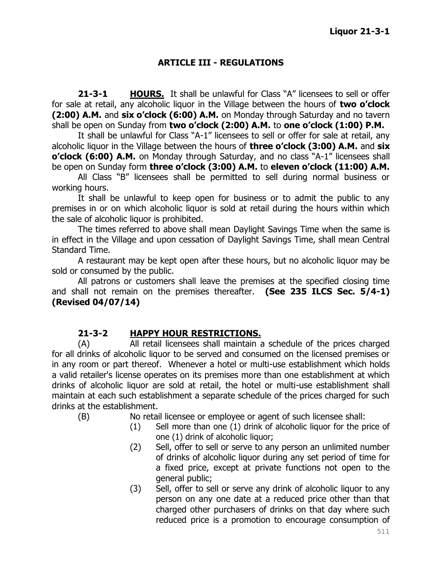### **ARTICLE III - REGULATIONS**

**21-3-1 HOURS.** It shall be unlawful for Class "A" licensees to sell or offer for sale at retail, any alcoholic liquor in the Village between the hours of **two o'clock (2:00) A.M.** and **six o'clock (6:00) A.M.** on Monday through Saturday and no tavern shall be open on Sunday from **two o'clock (2:00) A.M.** to **one o'clock (1:00) P.M.**

It shall be unlawful for Class "A-1" licensees to sell or offer for sale at retail, any alcoholic liquor in the Village between the hours of **three o'clock (3:00) A.M.** and **six o'clock (6:00) A.M.** on Monday through Saturday, and no class "A-1" licensees shall be open on Sunday form **three o'clock (3:00) A.M.** to **eleven o'clock (11:00) A.M.**

All Class "B" licensees shall be permitted to sell during normal business or working hours.

It shall be unlawful to keep open for business or to admit the public to any premises in or on which alcoholic liquor is sold at retail during the hours within which the sale of alcoholic liquor is prohibited.

The times referred to above shall mean Daylight Savings Time when the same is in effect in the Village and upon cessation of Daylight Savings Time, shall mean Central Standard Time.

A restaurant may be kept open after these hours, but no alcoholic liquor may be sold or consumed by the public.

All patrons or customers shall leave the premises at the specified closing time and shall not remain on the premises thereafter. **(See 235 ILCS Sec. 5/4-1) (Revised 04/07/14)**

### **21-3-2 HAPPY HOUR RESTRICTIONS.**

(A) All retail licensees shall maintain a schedule of the prices charged for all drinks of alcoholic liquor to be served and consumed on the licensed premises or in any room or part thereof. Whenever a hotel or multi-use establishment which holds a valid retailer's license operates on its premises more than one establishment at which drinks of alcoholic liquor are sold at retail, the hotel or multi-use establishment shall maintain at each such establishment a separate schedule of the prices charged for such drinks at the establishment.

- (B) No retail licensee or employee or agent of such licensee shall:
	- (1) Sell more than one (1) drink of alcoholic liquor for the price of one (1) drink of alcoholic liquor;
	- (2) Sell, offer to sell or serve to any person an unlimited number of drinks of alcoholic liquor during any set period of time for a fixed price, except at private functions not open to the general public;
	- (3) Sell, offer to sell or serve any drink of alcoholic liquor to any person on any one date at a reduced price other than that charged other purchasers of drinks on that day where such reduced price is a promotion to encourage consumption of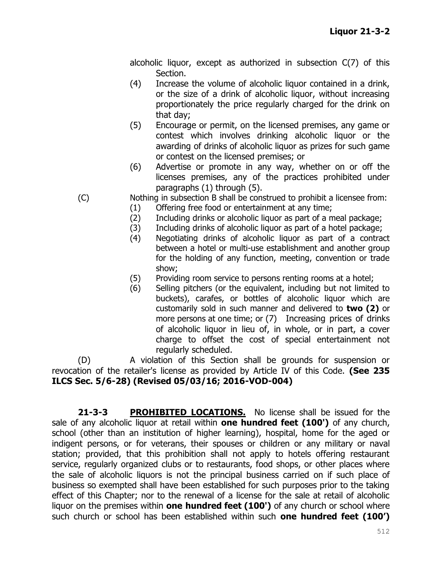alcoholic liquor, except as authorized in subsection C(7) of this Section.

- (4) Increase the volume of alcoholic liquor contained in a drink, or the size of a drink of alcoholic liquor, without increasing proportionately the price regularly charged for the drink on that day;
- (5) Encourage or permit, on the licensed premises, any game or contest which involves drinking alcoholic liquor or the awarding of drinks of alcoholic liquor as prizes for such game or contest on the licensed premises; or
- (6) Advertise or promote in any way, whether on or off the licenses premises, any of the practices prohibited under paragraphs (1) through (5).

(C) Nothing in subsection B shall be construed to prohibit a licensee from:

- (1) Offering free food or entertainment at any time;
- (2) Including drinks or alcoholic liquor as part of a meal package;
- (3) Including drinks of alcoholic liquor as part of a hotel package;
- (4) Negotiating drinks of alcoholic liquor as part of a contract between a hotel or multi-use establishment and another group for the holding of any function, meeting, convention or trade show;
- (5) Providing room service to persons renting rooms at a hotel;
- (6) Selling pitchers (or the equivalent, including but not limited to buckets), carafes, or bottles of alcoholic liquor which are customarily sold in such manner and delivered to **two (2)** or more persons at one time; or (7) Increasing prices of drinks of alcoholic liquor in lieu of, in whole, or in part, a cover charge to offset the cost of special entertainment not regularly scheduled.

(D) A violation of this Section shall be grounds for suspension or revocation of the retailer's license as provided by Article IV of this Code. **(See 235 ILCS Sec. 5/6-28) (Revised 05/03/16; 2016-VOD-004)**

**21-3-3 PROHIBITED LOCATIONS.** No license shall be issued for the sale of any alcoholic liquor at retail within **one hundred feet (100')** of any church, school (other than an institution of higher learning), hospital, home for the aged or indigent persons, or for veterans, their spouses or children or any military or naval station; provided, that this prohibition shall not apply to hotels offering restaurant service, regularly organized clubs or to restaurants, food shops, or other places where the sale of alcoholic liquors is not the principal business carried on if such place of business so exempted shall have been established for such purposes prior to the taking effect of this Chapter; nor to the renewal of a license for the sale at retail of alcoholic liquor on the premises within **one hundred feet (100')** of any church or school where such church or school has been established within such **one hundred feet (100')**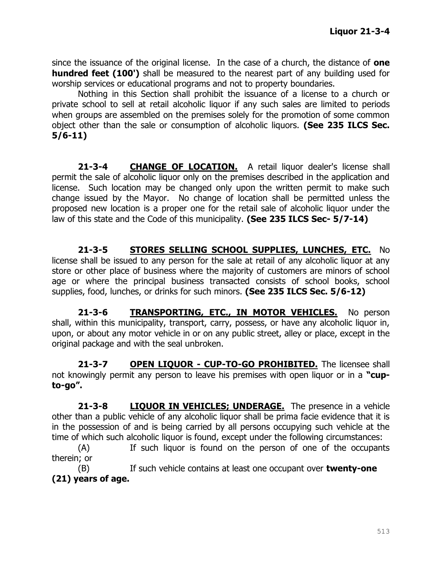since the issuance of the original license. In the case of a church, the distance of **one hundred feet (100')** shall be measured to the nearest part of any building used for worship services or educational programs and not to property boundaries.

Nothing in this Section shall prohibit the issuance of a license to a church or private school to sell at retail alcoholic liquor if any such sales are limited to periods when groups are assembled on the premises solely for the promotion of some common object other than the sale or consumption of alcoholic liquors. **(See 235 ILCS Sec. 5/6-11)**

**21-3-4 CHANGE OF LOCATION.** A retail liquor dealer's license shall permit the sale of alcoholic liquor only on the premises described in the application and license. Such location may be changed only upon the written permit to make such change issued by the Mayor. No change of location shall be permitted unless the proposed new location is a proper one for the retail sale of alcoholic liquor under the law of this state and the Code of this municipality. **(See 235 ILCS Sec- 5/7-14)**

**21-3-5 STORES SELLING SCHOOL SUPPLIES, LUNCHES, ETC.** No license shall be issued to any person for the sale at retail of any alcoholic liquor at any store or other place of business where the majority of customers are minors of school age or where the principal business transacted consists of school books, school supplies, food, lunches, or drinks for such minors. **(See 235 ILCS Sec. 5/6-12)**

**21-3-6 TRANSPORTING, ETC., IN MOTOR VEHICLES.** No person shall, within this municipality, transport, carry, possess, or have any alcoholic liquor in, upon, or about any motor vehicle in or on any public street, alley or place, except in the original package and with the seal unbroken.

**21-3-7 OPEN LIQUOR - CUP-TO-GO PROHIBITED.** The licensee shall not knowingly permit any person to leave his premises with open liquor or in a **"cupto-go".**

**21-3-8 LIQUOR IN VEHICLES; UNDERAGE.** The presence in a vehicle other than a public vehicle of any alcoholic liquor shall be prima facie evidence that it is in the possession of and is being carried by all persons occupying such vehicle at the time of which such alcoholic liquor is found, except under the following circumstances:

(A) If such liquor is found on the person of one of the occupants therein; or

(B) If such vehicle contains at least one occupant over **twenty-one (21) years of age.**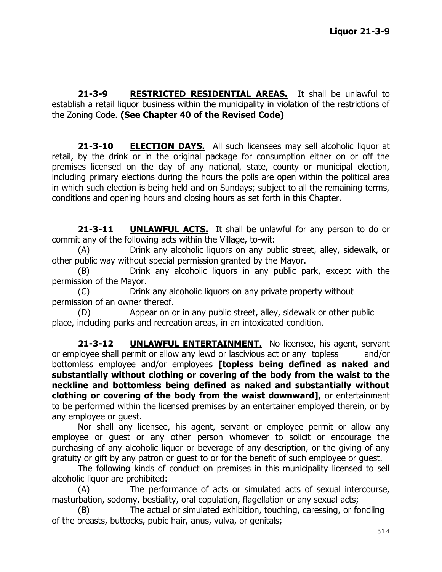**21-3-9 RESTRICTED RESIDENTIAL AREAS.** It shall be unlawful to establish a retail liquor business within the municipality in violation of the restrictions of the Zoning Code. **(See Chapter 40 of the Revised Code)**

**21-3-10 ELECTION DAYS.** All such licensees may sell alcoholic liquor at retail, by the drink or in the original package for consumption either on or off the premises licensed on the day of any national, state, county or municipal election, including primary elections during the hours the polls are open within the political area in which such election is being held and on Sundays; subject to all the remaining terms, conditions and opening hours and closing hours as set forth in this Chapter.

**21-3-11 UNLAWFUL ACTS.** It shall be unlawful for any person to do or commit any of the following acts within the Village, to-wit:

(A) Drink any alcoholic liquors on any public street, alley, sidewalk, or other public way without special permission granted by the Mayor.

(B) Drink any alcoholic liquors in any public park, except with the permission of the Mayor.

(C) Drink any alcoholic liquors on any private property without permission of an owner thereof.

(D) Appear on or in any public street, alley, sidewalk or other public place, including parks and recreation areas, in an intoxicated condition.

**21-3-12 UNLAWFUL ENTERTAINMENT.** No licensee, his agent, servant or employee shall permit or allow any lewd or lascivious act or any topless and/or bottomless employee and/or employees **[topless being defined as naked and substantially without clothing or covering of the body from the waist to the neckline and bottomless being defined as naked and substantially without clothing or covering of the body from the waist downward],** or entertainment to be performed within the licensed premises by an entertainer employed therein, or by any employee or guest.

Nor shall any licensee, his agent, servant or employee permit or allow any employee or guest or any other person whomever to solicit or encourage the purchasing of any alcoholic liquor or beverage of any description, or the giving of any gratuity or gift by any patron or guest to or for the benefit of such employee or guest.

The following kinds of conduct on premises in this municipality licensed to sell alcoholic liquor are prohibited:

(A) The performance of acts or simulated acts of sexual intercourse, masturbation, sodomy, bestiality, oral copulation, flagellation or any sexual acts;

(B) The actual or simulated exhibition, touching, caressing, or fondling of the breasts, buttocks, pubic hair, anus, vulva, or genitals;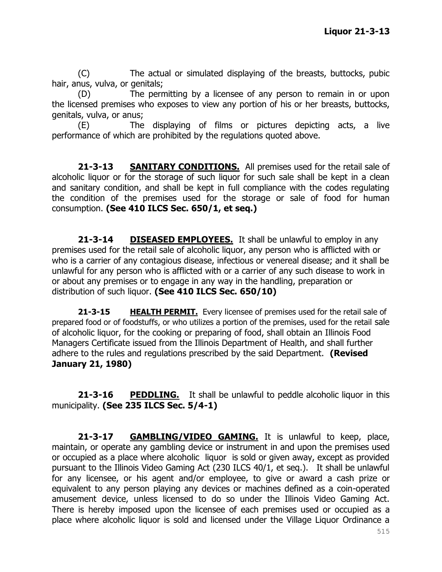(C) The actual or simulated displaying of the breasts, buttocks, pubic hair, anus, vulva, or genitals;

(D) The permitting by a licensee of any person to remain in or upon the licensed premises who exposes to view any portion of his or her breasts, buttocks, genitals, vulva, or anus;

(E) The displaying of films or pictures depicting acts, a live performance of which are prohibited by the regulations quoted above.

**21-3-13 SANITARY CONDITIONS.** All premises used for the retail sale of alcoholic liquor or for the storage of such liquor for such sale shall be kept in a clean and sanitary condition, and shall be kept in full compliance with the codes regulating the condition of the premises used for the storage or sale of food for human consumption. **(See 410 ILCS Sec. 650/1, et seq.)**

**21-3-14 DISEASED EMPLOYEES.** It shall be unlawful to employ in any premises used for the retail sale of alcoholic liquor, any person who is afflicted with or who is a carrier of any contagious disease, infectious or venereal disease; and it shall be unlawful for any person who is afflicted with or a carrier of any such disease to work in or about any premises or to engage in any way in the handling, preparation or distribution of such liquor. **(See 410 ILCS Sec. 650/10)**

**21-3-15 HEALTH PERMIT.** Every licensee of premises used for the retail sale of prepared food or of foodstuffs, or who utilizes a portion of the premises, used for the retail sale of alcoholic liquor, for the cooking or preparing of food, shall obtain an Illinois Food Managers Certificate issued from the Illinois Department of Health, and shall further adhere to the rules and regulations prescribed by the said Department. **(Revised January 21, 1980)**

**21-3-16 PEDDLING.** It shall be unlawful to peddle alcoholic liquor in this municipality. **(See 235 ILCS Sec. 5/4-1)**

**21-3-17 GAMBLING/VIDEO GAMING.** It is unlawful to keep, place, maintain, or operate any gambling device or instrument in and upon the premises used or occupied as a place where alcoholic liquor is sold or given away, except as provided pursuant to the Illinois Video Gaming Act (230 ILCS 40/1, et seq.). It shall be unlawful for any licensee, or his agent and/or employee, to give or award a cash prize or equivalent to any person playing any devices or machines defined as a coin-operated amusement device, unless licensed to do so under the Illinois Video Gaming Act. There is hereby imposed upon the licensee of each premises used or occupied as a place where alcoholic liquor is sold and licensed under the Village Liquor Ordinance a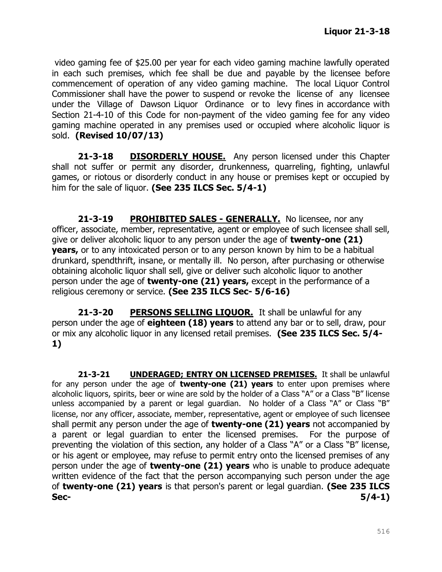video gaming fee of \$25.00 per year for each video gaming machine lawfully operated in each such premises, which fee shall be due and payable by the licensee before commencement of operation of any video gaming machine. The local Liquor Control Commissioner shall have the power to suspend or revoke the license of any licensee under the Village of Dawson Liquor Ordinance or to levy fines in accordance with Section 21-4-10 of this Code for non-payment of the video gaming fee for any video gaming machine operated in any premises used or occupied where alcoholic liquor is sold. **(Revised 10/07/13)**

**21-3-18 DISORDERLY HOUSE.** Any person licensed under this Chapter shall not suffer or permit any disorder, drunkenness, quarreling, fighting, unlawful games, or riotous or disorderly conduct in any house or premises kept or occupied by him for the sale of liquor. **(See 235 ILCS Sec. 5/4-1)**

**21-3-19 PROHIBITED SALES - GENERALLY.** No licensee, nor any officer, associate, member, representative, agent or employee of such licensee shall sell, give or deliver alcoholic liquor to any person under the age of **twenty-one (21) years,** or to any intoxicated person or to any person known by him to be a habitual drunkard, spendthrift, insane, or mentally ill. No person, after purchasing or otherwise obtaining alcoholic liquor shall sell, give or deliver such alcoholic liquor to another person under the age of **twenty-one (21) years,** except in the performance of a religious ceremony or service. **(See 235 ILCS Sec- 5/6-16)**

**21-3-20 PERSONS SELLING LIQUOR.** It shall be unlawful for any person under the age of **eighteen (18) years** to attend any bar or to sell, draw, pour or mix any alcoholic liquor in any licensed retail premises. **(See 235 ILCS Sec. 5/4- 1)**

**21-3-21 UNDERAGED; ENTRY ON LICENSED PREMISES.** It shall be unlawful for any person under the age of **twenty-one (21) years** to enter upon premises where alcoholic liquors, spirits, beer or wine are sold by the holder of a Class "A" or a Class "B" license unless accompanied by a parent or legal guardian. No holder of a Class "A" or Class "B" license, nor any officer, associate, member, representative, agent or employee of such licensee shall permit any person under the age of **twenty-one (21) years** not accompanied by a parent or legal guardian to enter the licensed premises. For the purpose of preventing the violation of this section, any holder of a Class "A" or a Class "B" license, or his agent or employee, may refuse to permit entry onto the licensed premises of any person under the age of **twenty-one (21) years** who is unable to produce adequate written evidence of the fact that the person accompanying such person under the age of **twenty-one (21) years** is that person's parent or legal guardian. **(See 235 ILCS Sec- 5/4-1)**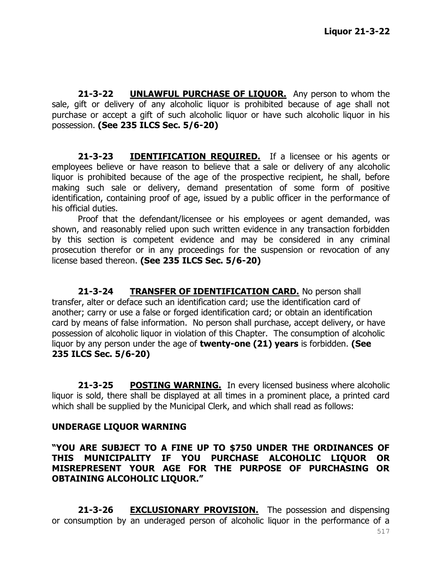21-3-22 **UNLAWFUL PURCHASE OF LIQUOR.** Any person to whom the sale, gift or delivery of any alcoholic liquor is prohibited because of age shall not purchase or accept a gift of such alcoholic liquor or have such alcoholic liquor in his possession. **(See 235 ILCS Sec. 5/6-20)**

**21-3-23 IDENTIFICATION REQUIRED.** If a licensee or his agents or employees believe or have reason to believe that a sale or delivery of any alcoholic liquor is prohibited because of the age of the prospective recipient, he shall, before making such sale or delivery, demand presentation of some form of positive identification, containing proof of age, issued by a public officer in the performance of his official duties.

Proof that the defendant/licensee or his employees or agent demanded, was shown, and reasonably relied upon such written evidence in any transaction forbidden by this section is competent evidence and may be considered in any criminal prosecution therefor or in any proceedings for the suspension or revocation of any license based thereon. **(See 235 ILCS Sec. 5/6-20)**

**21-3-24 TRANSFER OF IDENTIFICATION CARD.** No person shall transfer, alter or deface such an identification card; use the identification card of another; carry or use a false or forged identification card; or obtain an identification card by means of false information. No person shall purchase, accept delivery, or have possession of alcoholic liquor in violation of this Chapter. The consumption of alcoholic liquor by any person under the age of **twenty-one (21) years** is forbidden. **(See 235 ILCS Sec. 5/6-20)**

**21-3-25 POSTING WARNING.** In every licensed business where alcoholic liquor is sold, there shall be displayed at all times in a prominent place, a printed card which shall be supplied by the Municipal Clerk, and which shall read as follows:

#### **UNDERAGE LIQUOR WARNING**

**"YOU ARE SUBJECT TO A FINE UP TO \$750 UNDER THE ORDINANCES OF THIS MUNICIPALITY IF YOU PURCHASE ALCOHOLIC LIQUOR OR MISREPRESENT YOUR AGE FOR THE PURPOSE OF PURCHASING OR OBTAINING ALCOHOLIC LIQUOR."**

**21-3-26 EXCLUSIONARY PROVISION.** The possession and dispensing or consumption by an underaged person of alcoholic liquor in the performance of a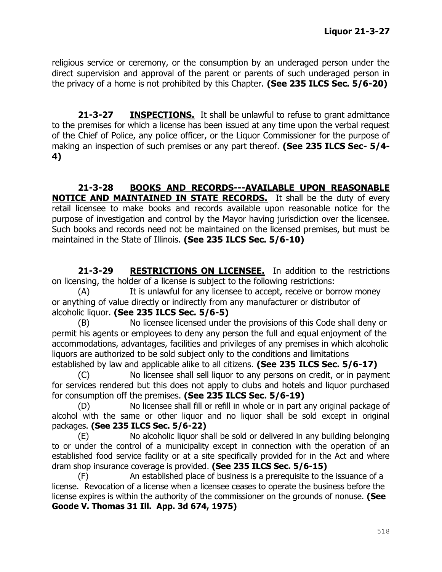religious service or ceremony, or the consumption by an underaged person under the direct supervision and approval of the parent or parents of such underaged person in the privacy of a home is not prohibited by this Chapter. **(See 235 ILCS Sec. 5/6-20)**

**21-3-27 INSPECTIONS.** It shall be unlawful to refuse to grant admittance to the premises for which a license has been issued at any time upon the verbal request of the Chief of Police, any police officer, or the Liquor Commissioner for the purpose of making an inspection of such premises or any part thereof. **(See 235 ILCS Sec- 5/4- 4)**

**21-3-28 BOOKS AND RECORDS---AVAILABLE UPON REASONABLE NOTICE AND MAINTAINED IN STATE RECORDS.** It shall be the duty of every retail licensee to make books and records available upon reasonable notice for the purpose of investigation and control by the Mayor having jurisdiction over the licensee. Such books and records need not be maintained on the licensed premises, but must be maintained in the State of Illinois. **(See 235 ILCS Sec. 5/6-10)**

**21-3-29 RESTRICTIONS ON LICENSEE.** In addition to the restrictions on licensing, the holder of a license is subject to the following restrictions:

(A) It is unlawful for any licensee to accept, receive or borrow money or anything of value directly or indirectly from any manufacturer or distributor of alcoholic liquor. **(See 235 ILCS Sec. 5/6-5)**

(B) No licensee licensed under the provisions of this Code shall deny or permit his agents or employees to deny any person the full and equal enjoyment of the accommodations, advantages, facilities and privileges of any premises in which alcoholic liquors are authorized to be sold subject only to the conditions and limitations established by law and applicable alike to all citizens. **(See 235 ILCS Sec. 5/6-17)**

(C) No licensee shall sell liquor to any persons on credit, or in payment for services rendered but this does not apply to clubs and hotels and liquor purchased for consumption off the premises. **(See 235 ILCS Sec. 5/6-19)**

(D) No licensee shall fill or refill in whole or in part any original package of alcohol with the same or other liquor and no liquor shall be sold except in original packages. **(See 235 ILCS Sec. 5/6-22)**

(E) No alcoholic liquor shall be sold or delivered in any building belonging to or under the control of a municipality except in connection with the operation of an established food service facility or at a site specifically provided for in the Act and where dram shop insurance coverage is provided. **(See 235 ILCS Sec. 5/6-15)**

(F) An established place of business is a prerequisite to the issuance of a license. Revocation of a license when a licensee ceases to operate the business before the license expires is within the authority of the commissioner on the grounds of nonuse. **(See Goode V. Thomas 31 Ill. App. 3d 674, 1975)**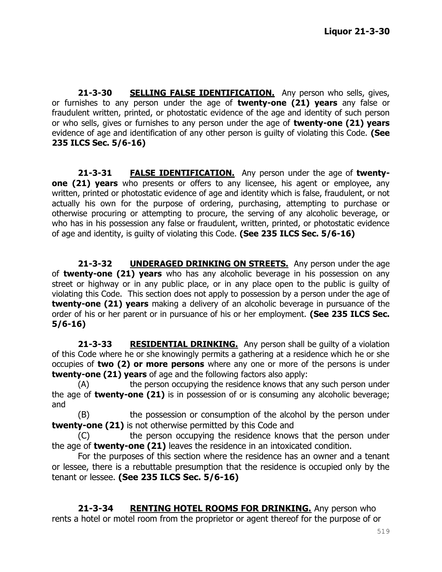**21-3-30 SELLING FALSE IDENTIFICATION.** Any person who sells, gives, or furnishes to any person under the age of **twenty-one (21) years** any false or fraudulent written, printed, or photostatic evidence of the age and identity of such person or who sells, gives or furnishes to any person under the age of **twenty-one (21) years**  evidence of age and identification of any other person is guilty of violating this Code. **(See 235 ILCS Sec. 5/6-16)**

**21-3-31 FALSE IDENTIFICATION.** Any person under the age of **twentyone (21) years** who presents or offers to any licensee, his agent or employee, any written, printed or photostatic evidence of age and identity which is false, fraudulent, or not actually his own for the purpose of ordering, purchasing, attempting to purchase or otherwise procuring or attempting to procure, the serving of any alcoholic beverage, or who has in his possession any false or fraudulent, written, printed, or photostatic evidence of age and identity, is guilty of violating this Code. **(See 235 ILCS Sec. 5/6-16)**

**21-3-32 UNDERAGED DRINKING ON STREETS.** Any person under the age of **twenty-one (21) years** who has any alcoholic beverage in his possession on any street or highway or in any public place, or in any place open to the public is guilty of violating this Code. This section does not apply to possession by a person under the age of **twenty-one (21) years** making a delivery of an alcoholic beverage in pursuance of the order of his or her parent or in pursuance of his or her employment. **(See 235 ILCS Sec. 5/6-16)**

**21-3-33 RESIDENTIAL DRINKING.** Any person shall be guilty of a violation of this Code where he or she knowingly permits a gathering at a residence which he or she occupies of **two (2) or more persons** where any one or more of the persons is under **twenty-one (21) years** of age and the following factors also apply:

(A) the person occupying the residence knows that any such person under the age of **twenty-one (21)** is in possession of or is consuming any alcoholic beverage; and

(B) the possession or consumption of the alcohol by the person under **twenty-one (21)** is not otherwise permitted by this Code and

(C) the person occupying the residence knows that the person under the age of **twenty-one (21)** leaves the residence in an intoxicated condition.

For the purposes of this section where the residence has an owner and a tenant or lessee, there is a rebuttable presumption that the residence is occupied only by the tenant or lessee. **(See 235 ILCS Sec. 5/6-16)**

**21-3-34 RENTING HOTEL ROOMS FOR DRINKING.** Any person who rents a hotel or motel room from the proprietor or agent thereof for the purpose of or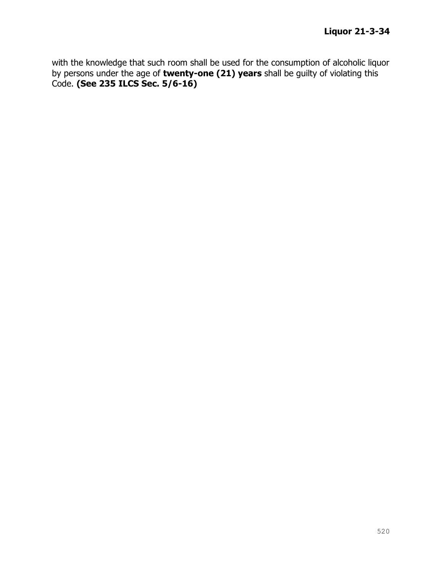with the knowledge that such room shall be used for the consumption of alcoholic liquor by persons under the age of **twenty-one (21) years** shall be guilty of violating this Code. **(See 235 ILCS Sec. 5/6-16)**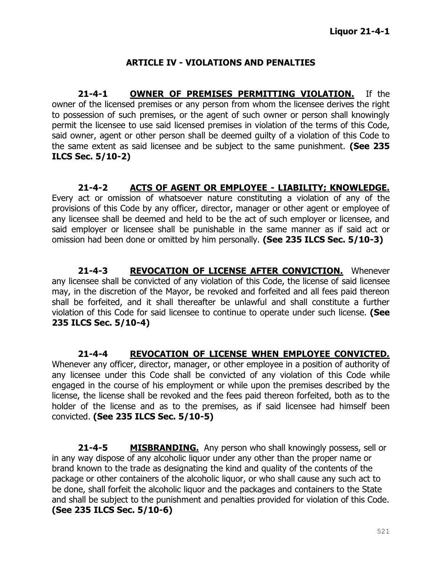## **ARTICLE IV - VIOLATIONS AND PENALTIES**

**21-4-1 OWNER OF PREMISES PERMITTING VIOLATION.** If the owner of the licensed premises or any person from whom the licensee derives the right to possession of such premises, or the agent of such owner or person shall knowingly permit the licensee to use said licensed premises in violation of the terms of this Code, said owner, agent or other person shall be deemed guilty of a violation of this Code to the same extent as said licensee and be subject to the same punishment. **(See 235 ILCS Sec. 5/10-2)**

**21-4-2 ACTS OF AGENT OR EMPLOYEE - LIABILITY; KNOWLEDGE.**  Every act or omission of whatsoever nature constituting a violation of any of the provisions of this Code by any officer, director, manager or other agent or employee of any licensee shall be deemed and held to be the act of such employer or licensee, and said employer or licensee shall be punishable in the same manner as if said act or omission had been done or omitted by him personally. **(See 235 ILCS Sec. 5/10-3)**

**21-4-3 REVOCATION OF LICENSE AFTER CONVICTION.** Whenever any licensee shall be convicted of any violation of this Code, the license of said licensee may, in the discretion of the Mayor, be revoked and forfeited and all fees paid thereon shall be forfeited, and it shall thereafter be unlawful and shall constitute a further violation of this Code for said licensee to continue to operate under such license. **(See 235 ILCS Sec. 5/10-4)**

**21-4-4 REVOCATION OF LICENSE WHEN EMPLOYEE CONVICTED.** Whenever any officer, director, manager, or other employee in a position of authority of any licensee under this Code shall be convicted of any violation of this Code while engaged in the course of his employment or while upon the premises described by the license, the license shall be revoked and the fees paid thereon forfeited, both as to the holder of the license and as to the premises, as if said licensee had himself been convicted. **(See 235 ILCS Sec. 5/10-5)**

**21-4-5 MISBRANDING.** Any person who shall knowingly possess, sell or in any way dispose of any alcoholic liquor under any other than the proper name or brand known to the trade as designating the kind and quality of the contents of the package or other containers of the alcoholic liquor, or who shall cause any such act to be done, shall forfeit the alcoholic liquor and the packages and containers to the State and shall be subject to the punishment and penalties provided for violation of this Code. **(See 235 ILCS Sec. 5/10-6)**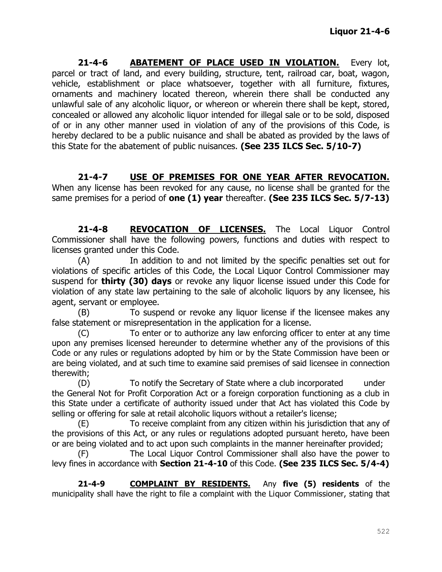**21-4-6 ABATEMENT OF PLACE USED IN VIOLATION.** Every lot, parcel or tract of land, and every building, structure, tent, railroad car, boat, wagon, vehicle, establishment or place whatsoever, together with all furniture, fixtures, ornaments and machinery located thereon, wherein there shall be conducted any unlawful sale of any alcoholic liquor, or whereon or wherein there shall be kept, stored, concealed or allowed any alcoholic liquor intended for illegal sale or to be sold, disposed of or in any other manner used in violation of any of the provisions of this Code, is hereby declared to be a public nuisance and shall be abated as provided by the laws of this State for the abatement of public nuisances. **(See 235 ILCS Sec. 5/10-7)**

**21-4-7 USE OF PREMISES FOR ONE YEAR AFTER REVOCATION.** When any license has been revoked for any cause, no license shall be granted for the same premises for a period of **one (1) year** thereafter. **(See 235 ILCS Sec. 5/7-13)**

**21-4-8 REVOCATION OF LICENSES.** The Local Liquor Control Commissioner shall have the following powers, functions and duties with respect to licenses granted under this Code.

(A) In addition to and not limited by the specific penalties set out for violations of specific articles of this Code, the Local Liquor Control Commissioner may suspend for **thirty (30) days** or revoke any liquor license issued under this Code for violation of any state law pertaining to the sale of alcoholic liquors by any licensee, his agent, servant or employee.

(B) To suspend or revoke any liquor license if the licensee makes any false statement or misrepresentation in the application for a license.

(C) To enter or to authorize any law enforcing officer to enter at any time upon any premises licensed hereunder to determine whether any of the provisions of this Code or any rules or regulations adopted by him or by the State Commission have been or are being violated, and at such time to examine said premises of said licensee in connection therewith;

(D) To notify the Secretary of State where a club incorporated under the General Not for Profit Corporation Act or a foreign corporation functioning as a club in this State under a certificate of authority issued under that Act has violated this Code by selling or offering for sale at retail alcoholic liquors without a retailer's license;

(E) To receive complaint from any citizen within his jurisdiction that any of the provisions of this Act, or any rules or regulations adopted pursuant hereto, have been or are being violated and to act upon such complaints in the manner hereinafter provided;

(F) The Local Liquor Control Commissioner shall also have the power to levy fines in accordance with **Section 21-4-10** of this Code. **(See 235 ILCS Sec. 5/4-4)**

**21-4-9 COMPLAINT BY RESIDENTS.** Any **five (5) residents** of the municipality shall have the right to file a complaint with the Liquor Commissioner, stating that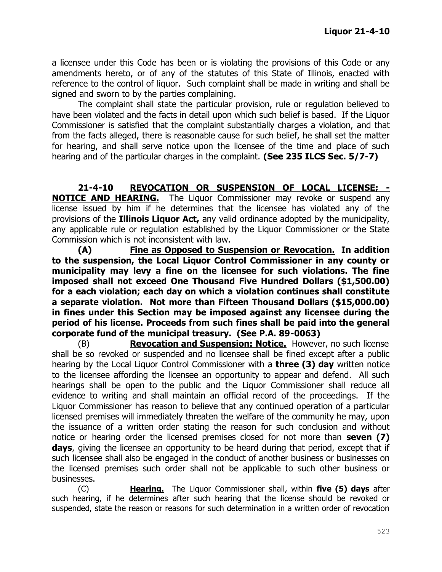a licensee under this Code has been or is violating the provisions of this Code or any amendments hereto, or of any of the statutes of this State of Illinois, enacted with reference to the control of liquor. Such complaint shall be made in writing and shall be signed and sworn to by the parties complaining.

The complaint shall state the particular provision, rule or regulation believed to have been violated and the facts in detail upon which such belief is based. If the Liquor Commissioner is satisfied that the complaint substantially charges a violation, and that from the facts alleged, there is reasonable cause for such belief, he shall set the matter for hearing, and shall serve notice upon the licensee of the time and place of such hearing and of the particular charges in the complaint. **(See 235 ILCS Sec. 5/7-7)**

**21-4-10 REVOCATION OR SUSPENSION OF LOCAL LICENSE; - NOTICE AND HEARING.** The Liquor Commissioner may revoke or suspend any license issued by him if he determines that the licensee has violated any of the provisions of the **Illinois Liquor Act,** any valid ordinance adopted by the municipality, any applicable rule or regulation established by the Liquor Commissioner or the State Commission which is not inconsistent with law.

**(A) Fine as Opposed to Suspension or Revocation. In addition to the suspension, the Local Liquor Control Commissioner in any county or municipality may levy a fine on the licensee for such violations. The fine imposed shall not exceed One Thousand Five Hundred Dollars (\$1,500.00) for a each violation; each day on which a violation continues shall constitute a separate violation. Not more than Fifteen Thousand Dollars (\$15,000.00) in fines under this Section may be imposed against any licensee during the period of his license. Proceeds from such fines shall be paid into the general corporate fund of the municipal treasury. (See P.A. 89-0063)**

(B) **Revocation and Suspension: Notice.** However, no such license shall be so revoked or suspended and no licensee shall be fined except after a public hearing by the Local Liquor Control Commissioner with a **three (3) day** written notice to the licensee affording the licensee an opportunity to appear and defend. All such hearings shall be open to the public and the Liquor Commissioner shall reduce all evidence to writing and shall maintain an official record of the proceedings. If the Liquor Commissioner has reason to believe that any continued operation of a particular licensed premises will immediately threaten the welfare of the community he may, upon the issuance of a written order stating the reason for such conclusion and without notice or hearing order the licensed premises closed for not more than **seven (7)**  days, giving the licensee an opportunity to be heard during that period, except that if such licensee shall also be engaged in the conduct of another business or businesses on the licensed premises such order shall not be applicable to such other business or businesses.

(C) **Hearing.** The Liquor Commissioner shall, within **five (5) days** after such hearing, if he determines after such hearing that the license should be revoked or suspended, state the reason or reasons for such determination in a written order of revocation